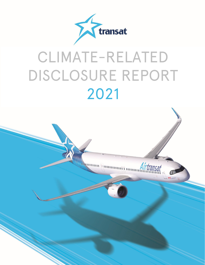

# CLIMATE-RELATED DISCLOSURE REPORT 2021

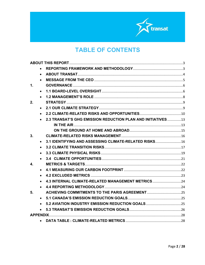

# **TABLE OF CONTENTS**

<span id="page-1-0"></span>

|    | $\bullet$ |                                                              |  |
|----|-----------|--------------------------------------------------------------|--|
|    |           |                                                              |  |
| 1. |           |                                                              |  |
|    |           |                                                              |  |
|    |           |                                                              |  |
| 2. |           |                                                              |  |
|    |           |                                                              |  |
|    |           |                                                              |  |
|    |           | 2.3 TRANSAT'S GHG EMISSION REDUCTION PLAN AND INITIATIVES 13 |  |
|    |           |                                                              |  |
|    |           |                                                              |  |
| 3. |           |                                                              |  |
|    | $\bullet$ | 3.1 IDENTIFYING AND ASSESSING CLIMATE-RELATED RISKS 16       |  |
|    |           |                                                              |  |
|    |           |                                                              |  |
|    |           |                                                              |  |
| 4  |           |                                                              |  |
|    | $\bullet$ |                                                              |  |
|    |           |                                                              |  |
|    |           | 4.3 INTERNAL CLIMATE-RELATED MANAGEMENT METRICS24            |  |
|    |           |                                                              |  |
| 5. |           |                                                              |  |
|    | $\bullet$ |                                                              |  |
|    |           |                                                              |  |
|    |           |                                                              |  |
|    |           |                                                              |  |
|    | $\bullet$ |                                                              |  |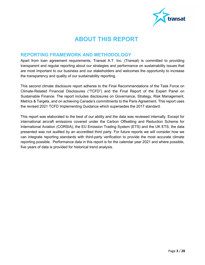

# **ABOUT THIS REPORT**

#### <span id="page-2-0"></span>**REPORTING FRAMEWORK AND METHODOLOGY**

Apart from loan agreement requirements, Transat A.T. Inc. (Transat) is committed to providing transparent and regular reporting about our strategies and performance on sustainability issues that are most important to our business and our stakeholders and welcomes the opportunity to increase the transparency and quality of our sustainability reporting.

This second climate disclosure report adheres to the Final Recommendations of the Task Force on Climate-Related Financial Disclosures ("TCFD") and the Final Report of the Expert Panel on Sustainable Finance. The report includes disclosures on Governance, Strategy, Risk Management, Metrics & Targets, and on achieving Canada's commitments to the Paris Agreement. This report uses the revised 2021 TCFD Implementing Guidance which supersedes the 2017 standard.

This report was elaborated to the best of our ability and the data was reviewed internally. Except for international aircraft emissions covered under the Carbon Offsetting and Reduction Scheme for International Aviation (CORSIA), the EU Emission Trading System (ETS) and the UK ETS, the data presented was not audited by an accredited third party. For future reports we will consider how we can integrate reporting standards with third-party verification to provide the most accurate climate reporting possible. Performance data in this report is for the calendar year 2021 and where possible, five years of data is provided for historical trend analysis.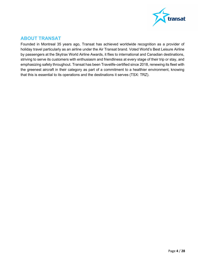

## <span id="page-3-0"></span>**ABOUT TRANSAT**

Founded in Montreal 35 years ago, Transat has achieved worldwide recognition as a provider of holiday travel particularly as an airline under the Air Transat brand. Voted World's Best Leisure Airline by passengers at the Skytrax World Airline Awards, it flies to international and Canadian destinations, striving to serve its customers with enthusiasm and friendliness at every stage of their trip or stay, and emphasizing safety throughout. Transat has been Travelife-certified since 2018, renewing its fleet with the greenest aircraft in their category as part of a commitment to a healthier environment, knowing that this is essential to its operations and the destinations it serves (TSX: TRZ).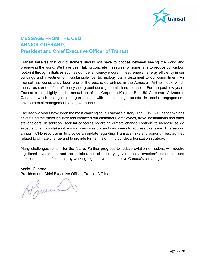

## <span id="page-4-0"></span>**MESSAGE FROM THE CEO ANNICK GUÉRARD, President and Chief Executive Officer of Transat**

Transat believes that our customers should not have to choose between seeing the world and preserving the world. We have been taking concrete measures for some time to reduce our carbon footprint through initiatives such as our fuel efficiency program, fleet renewal, energy efficiency in our buildings and investments in sustainable fuel technology. As a testament to our commitment, Air Transat has consistently been one of the best-rated airlines in the Atmosfair Airline Index, which measures carriers' fuel efficiency and greenhouse gas emissions reduction. For the past few years Transat placed highly on the annual list of the Corporate Knight's Best 50 Corporate Citizens in Canada, which recognizes organizations with outstanding records in social engagement, environmental management, and governance.

The last two years have been the most challenging in Transat's history. The COVID-19 pandemic has devastated the travel industry and impacted our customers, employees, travel destinations and other stakeholders. In addition, societal concerns regarding climate change continue to increase as do expectations from stakeholders such as investors and customers to address this issue. This second annual TCFD report aims to provide an update regarding Transat's risks and opportunities, as they related to climate change and to provide further insight into our decarbonization strategy.

Many challenges remain for the future. Further progress to reduce aviation emissions will require significant investments and the collaboration of industry, governments, investors' customers, and suppliers. I am confident that by working together we can achieve Canada's climate goals.

Annick Guérard

President and Chief Executive Officer, Transat A.T.Inc.<br>
A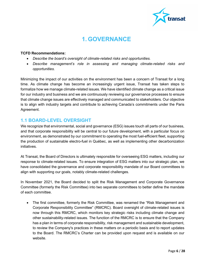

# **1. GOVERNANCE**

#### <span id="page-5-0"></span>**TCFD Recommendations:**

- *Describe the board's oversight of climate-related risks and opportunities.*
- *Describe management's role in assessing and managing climate-related risks and opportunities.*

Minimizing the impact of our activities on the environment has been a concern of Transat for a long time. As climate change has become an increasingly urgent issue, Transat has taken steps to formalize how we manage climate-related issues. We have identified climate change as a critical issue for our industry and business and we are continuously reviewing our governance processes to ensure that climate change issues are effectively managed and communicated to stakeholders. Our objective is to align with industry targets and contribute to achieving Canada's commitments under the Paris Agreement.

#### <span id="page-5-1"></span>**1.1 BOARD-LEVEL OVERSIGHT**

We recognize that environmental, social and governance (ESG) issues touch all parts of our business, and that corporate responsibility will be central to our future development, with a particular focus on environment, as demonstrated by our commitment to operating the most fuel-efficient fleet, supporting the production of sustainable electro-fuel in Québec, as well as implementing other decarbonization initiatives.

At Transat, the Board of Directors is ultimately responsible for overseeing ESG matters, including our response to climate-related issues. To ensure integration of ESG matters into our strategic plan, we have consolidated the governance and corporate responsibility mandate of our Board committees to align with supporting our goals, notably climate-related challenges.

In November 2021, the Board decided to split the Risk Management and Corporate Governance Committee (formerly the Risk Committee) into two separate committees to better define the mandate of each committee.

• The first committee, formerly the Risk Committee, was renamed the "Risk Management and Corporate Responsibility Committee" (RMCRC). Board oversight of climate-related issues is now through this RMCRC, which monitors key strategic risks including climate change and other sustainability-related issues. The function of the RMCRC is to ensure that the Company has a plan in terms of corporate responsibility, risk management and sustainable development, to review the Company's practices in these matters on a periodic basis and to report updates to the Board. The RMCRC's Charter can be provided upon request and is available on our website.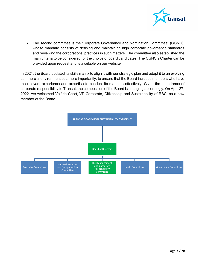

• The second committee is the "Corporate Governance and Nomination Committee" (CGNC), whose mandate consists of defining and maintaining high corporate governance standards and reviewing the corporations' practices in such matters. The committee also established the main criteria to be considered for the choice of board candidates. The CGNC's Charter can be provided upon request and is available on our website.

In 2021, the Board updated its skills matrix to align it with our strategic plan and adapt it to an evolving commercial environment but, more importantly, to ensure that the Board includes members who have the relevant experience and expertise to conduct its mandate effectively. Given the importance of corporate responsibility to Transat, the composition of the Board is changing accordingly. On April 27, 2022, we welcomed Valérie Chort, VP Corporate, Citizenship and Sustainability of RBC, as a new member of the Board.

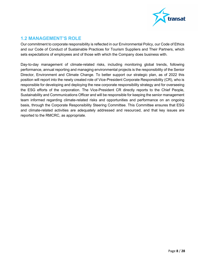

## <span id="page-7-0"></span>**1.2 MANAGEMENT'S ROLE**

Our commitment to corporate responsibility is reflected in our Environmental Policy, our Code of Ethics and our Code of Conduct of Sustainable Practices for Tourism Suppliers and Their Partners, which sets expectations of employees and of those with which the Company does business with.

Day-to-day management of climate-related risks, including monitoring global trends, following performance, annual reporting and managing environmental projects is the responsibility of the Senior Director, Environment and Climate Change. To better support our strategic plan, as of 2022 this position will report into the newly created role of Vice-President Corporate Responsibility (CR), who is responsible for developing and deploying the new corporate responsibility strategy and for overseeing the ESG efforts of the corporation. The Vice-President CR directly reports to the Chief People, Sustainability and Communications Officer and will be responsible for keeping the senior management team informed regarding climate-related risks and opportunities and performance on an ongoing basis, through the Corporate Responsibility Steering Committee. This Committee ensures that ESG and climate-related activities are adequately addressed and resourced, and that key issues are reported to the RMCRC, as appropriate.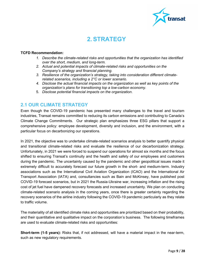

# **2. STRATEGY**

#### <span id="page-8-0"></span>**TCFD Recommendation:**

- *1. Describe the climate-related risks and opportunities that the organization has identified over the short, medium, and long-term.*
- *2. Actual and potential impacts of climate-related risks and opportunities on the Company's strategy and financial planning.*
- *3. Resilience of the organization's strategy, taking into consideration different climaterelated scenarios, including a 2°C or lower scenario.*
- *4. Disclose the actual financial impacts on the organization as well as key points of the organization's plans for transitioning top a low-carbon economy.*
- 5. *Disclose potential financial impacts on the organization*.

## <span id="page-8-1"></span>**2.1 OUR CLIMATE STRATEGY**

Even though the COVID-19 pandemic has presented many challenges to the travel and tourism industries, Transat remains committed to reducing its carbon emissions and contributing to Canada's Climate Change Commitments. Our strategic plan emphasizes three ESG pillars that support a comprehensive policy: employee development, diversity and inclusion, and the environment, with a particular focus on decarbonizing our operations.

In 2021, the objective was to undertake climate-related scenarios analysis to better quantify physical and transitional climate-related risks and evaluate the resilience of our decarbonization strategy. Unfortunately, in 2021 we were forced to suspend our operations for almost six months and the focus shifted to ensuring Transat's continuity and the health and safety of our employees and customers during the pandemic. The uncertainty caused by the pandemic and other geopolitical issues made it extremely difficult to accurately forecast our future growth in the short- and medium-term. Industry associations such as the International Civil Aviation Organization (ICAO) and the International Air Transport Association (IATA) and, consultancies such as Bain and McKinsey, have published post COVID-19 forecast scenarios, but in 2021 the Russia-Ukraine war, increasing inflation and the rising cost of jet fuel have dampened recovery forecasts and increased uncertainty. We plan on conducting climate-related scenario analysis in the coming years, once there is greater certainty regarding the recovery scenarios of the airline industry following the COVID-19 pandemic particularly as they relate to traffic volume.

The materiality of all identified climate risks and opportunities are prioritized based on their probability, and their quantitative and qualitative impact on the corporation's business. The following timeframes are used to evaluate climate-related risks and opportunities:

**Short-term (1-5 years):** Risks that, if not addressed, will have a material impact in the near-term, such as new regulatory requirements.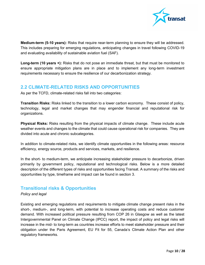

**Medium-term (5-10 years):** Risks that require near-term planning to ensure they will be addressed. This includes preparing for emerging regulations, anticipating changes in travel following COVID-19 and evaluating availability of sustainable aviation fuel (SAF).

**Long-term (10 years +):** Risks that do not pose an immediate threat, but that must be monitored to ensure appropriate mitigation plans are in place and to implement any long-term investment requirements necessary to ensure the resilience of our decarbonization strategy.

#### <span id="page-9-0"></span>**2.2 CLIMATE-RELATED RISKS AND OPPORTUNITIES**

As per the TCFD, climate-related risks fall into two categories:

**Transition Risks:** Risks linked to the transition to a lower carbon economy. These consist of policy, technology, legal and market changes that may engender financial and reputational risk for organizations.

**Physical Risks:** Risks resulting from the physical impacts of climate change. These include acute weather events and changes to the climate that could cause operational risk for companies. They are divided into acute and chronic subcategories.

In addition to climate-related risks, we identify climate opportunities in the following areas: resource efficiency, energy source, products and services, markets, and resilience.

In the short- to medium-term, we anticipate increasing stakeholder pressure to decarbonize, driven primarily by government policy, reputational and technological risks. Below is a more detailed description of the different types of risks and opportunities facing Transat. A summary of the risks and opportunities by type, timeframe and impact can be found in section 3.

## **Transitional risks & Opportunities**

#### *Policy and legal*

Existing and emerging regulations and requirements to mitigate climate change present risks in the short-, medium-, and long-term, with potential to increase operating costs and reduce customer demand. With increased political pressure resulting from COP 26 in Glasgow as well as the latest Intergovernmental Panel on Climate Change (IPCC) report, the impact of policy and legal risks will increase in the mid- to long-term as countries increase efforts to meet stakeholder pressure and their obligation under the Paris Agreement, EU Fit for 55, Canada's Climate Action Plan and other regulatory frameworks.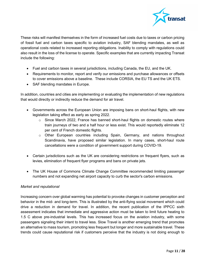

These risks will manifest themselves in the form of increased fuel costs due to taxes or carbon pricing of fossil fuel and carbon taxes specific to aviation industry, SAF blending mandates, as well as operational costs related to increased reporting obligations. Inability to comply with regulations could also result in the loss of the license to operate. Specific examples that are currently impacting Transat include the following:

- Fuel and carbon taxes in several jurisdictions, including Canada, the EU, and the UK.
- Requirements to monitor, report and verify our emissions and purchase allowances or offsets to cover emissions above a baseline. These include CORSIA, the EU TS and the UK ETS.
- SAF blending mandates in Europe.

In addition, countries and cities are implementing or evaluating the implementation of new regulations that would directly or indirectly reduce the demand for air travel.

- Governments across the European Union are imposing bans on short-haul flights, with new legislation taking effect as early as spring 2022.
	- $\circ$  Since March 2022, France has banned short-haul flights on domestic routes where train journeys of two and a half hour or less exist. This would reportedly eliminate 12 per cent of French domestic flights.
	- o Other European countries including Spain, Germany, and nations throughout Scandinavia, have proposed similar legislation. In many cases, short-haul route cancellations were a condition of government support during COVID-19.
- Certain jurisdictions such as the UK are considering restrictions on frequent flyers, such as levies, elimination of frequent flyer programs and bans on private jets.
- The UK House of Commons Climate Change Committee recommended limiting passenger numbers and not expanding net airport capacity to curb the sector's carbon emissions.

#### *Market and reputational*

Increasing concern over global warming has potential to provoke changes in customer perception and behavior in the mid- and long-term. This is illustrated by the anti-flying social movement which could drive a reduction in demand for travel. In addition, the recent publication of the IPPCC sixth assessment indicates that immediate and aggressive action must be taken to limit future heating to 1.5 C above pre-industrial levels. This has increased focus on the aviation industry, with some passengers signaling their intent to travel less. Slow Travel is another emerging trend that promotes an alternative to mass tourism, promoting less frequent but longer and more sustainable travel. These trends could cause reputational risk if customers perceive that the industry is not doing enough to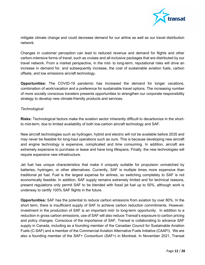

mitigate climate change and could decrease demand for our airline as well as our travel distribution network.

Changes in customer perception can lead to reduced revenue and demand for flights and other carbon-intensive forms of travel, such as cruises and all-inclusive packages that are distributed by our travel network. From a market perspective, in the mid- to long-term, reputational risks will drive an increase in demand for, and subsequently increase, the cost of sustainable aviation fuels, carbon offsets, and low emissions aircraft technology.

**Opportunities:** The COVID-19 pandemic has increased the demand for longer vacations, combination of work/vacation and a preference for sustainable travel options. The increasing number of more socially conscious travelers presents opportunities to strengthen our corporate responsibility strategy to develop new climate-friendly products and services.

#### *Technological*

**Risks:** Technological factors make the aviation sector inherently difficult to decarbonize in the shortto mid-term, due to limited availability of both low-carbon aircraft technology and SAF.

New aircraft technologies such as hydrogen, hybrid and electric will not be available before 2035 and may never be feasible for long-haul operations such as ours. This is because developing new aircraft and engine technology is expensive, complicated and time consuming. In addition, aircraft are extremely expensive to purchase or lease and have long lifespans. Finally, the new technologies will require expensive new infrastructure.

Jet fuel has unique characteristics that make it uniquely suitable for propulsion unmatched by batteries, hydrogen, or other alternatives. Currently, SAF is multiple times more expensive than traditional jet fuel. Fuel is the largest expense for airlines, so switching completely to SAF is not economically feasible. In addition, SAF supply remains extremely limited and for technical reasons, present regulations only permit SAF to be blended with fossil jet fuel up to 50%, although work is underway to certify 100% SAF flights in the future.

**Opportunities:** SAF has the potential to reduce carbon emissions from aviation by over 80%. In the short term, there is insufficient supply of SAF to achieve carbon reduction commitments. However, investment in the production of SAF is an important mid- to long-term opportunity. In addition to a reduction in gross carbon emissions, use of SAF will also reduce Transat's exposure to carbon pricing and policy changes. Conscious of the importance of SAF, Transat is collaborating to advance SAF supply in Canada, including as a founding member of the Canadian Council for Sustainable Aviation Fuels (C-SAF) and a member of the Commercial Aviation Alternative Fuels Initiative (CAAFI). We are also a founding member of the SAF+ Consortium (SAF+) in Montreal. In November 2021, Transat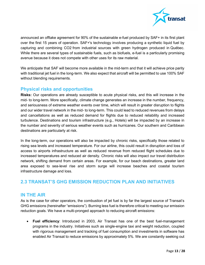

announced an offtake agreement for 90% of the sustainable e-fuel produced by SAF+ in its first plant over the first 15 years of operation. SAF+'s technology involves producing a synthetic liquid fuel by capturing and combining CO2 from industrial sources with green hydrogen produced in Québec. While there are several types of sustainable fuels, such as biofuels, e-fuel is a particularly promising avenue because it does not compete with other uses for its raw material.

We anticipate that SAF will become more available in the mid-term and that it will achieve price parity with traditional jet fuel in the long-term. We also expect that aircraft will be permitted to use 100% SAF without blending requirements.

#### **Physical risks and opportunities**

**Risks:** Our operations are already susceptible to acute physical risks, and this will increase in the mid- to long-term. More specifically, climate change generates an increase in the number, frequency, and seriousness of extreme weather events over time, which will result in greater disruption to flights and our wider travel network in the mid- to long-term. This could lead to reduced revenues from delays and cancellations as well as reduced demand for flights due to reduced reliability and increased turbulence. Destinations and tourism infrastructure (e.g., Hotels) will be impacted by an increase in the number and severity of serious weather events such as hurricanes. Our southern and Caribbean destinations are particularly at risk.

In the long-term, our operations will also be impacted by chronic risks, specifically those related to rising sea levels and increased temperature. For our airline, this could result in disruption and loss of access to airports infrastructure as well as reduced revenue from reduced flight schedules due to increased temperatures and reduced air density. Chronic risks will also impact our travel distribution network, shifting demand from certain areas. For example, for our beach destinations, greater land area exposed to sea-level rise and storm surge will increase beaches and coastal tourism infrastructure damage and loss.

## <span id="page-12-0"></span>**2.3 TRANSAT'S GHG EMISSION REDUCTION PLAN AND INITIATIVES**

#### <span id="page-12-1"></span>**IN THE AIR**

As is the case for other operators, the combustion of jet fuel is by far the largest source of Transat's GHG emissions (hereinafter "emissions"). Burning less fuel is therefore critical to meeting our emission reduction goals. We have a multi-pronged approach to reducing aircraft emissions:

• **Fuel efficiency**: Introduced in 2003, Air Transat has one of the best fuel-management programs in the industry. Initiatives such as single-engine taxi and weight reduction, coupled with rigorous management and tracking of fuel consumption and investments in software has enabled Air Transat to reduce emissions by approximately 5%. We are constantly seeking out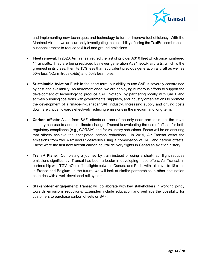

and implementing new techniques and technology to further improve fuel efficiency. With the Montreal Airport, we are currently investigating the possibility of using the TaxiBot semi-robotic pushback tractor to reduce taxi fuel and ground emissions.

- **Fleet renewal**: In 2020, Air Transat retired the last of its older A310 fleet which once numbered 14 aircrafts. They are being replaced by newer generation A321neoLR aircrafts, which is the greenest in its class. It emits 15% less than equivalent previous generation aircraft as well as 50% less NOx (nitrous oxide) and 50% less noise.
- **Sustainable Aviation Fuel**: In the short term, our ability to use SAF is severely constrained by cost and availability. As aforementioned, we are deploying numerous efforts to support the development of technology to produce SAF. Notably, by partnering locally with SAF+ and actively pursuing coalitions with governments, suppliers, and industry organizations to promote the development of a "made-in-Canada" SAF industry. Increasing supply and driving costs down are critical towards effectively reducing emissions in the medium and long term.
- **Carbon offsets**: Aside from SAF, offsets are one of the only near-term tools that the travel industry can use to address climate change. Transat is evaluating the use of offsets for both regulatory compliance (e.g., CORSIA) and for voluntary reductions. Focus will be on ensuring that offsets achieve the anticipated carbon reductions. In 2019, Air Transat offset the emissions from two A321neoLR deliveries using a combination of SAF and carbon offsets. These were the first new aircraft carbon neutral delivery flights in Canadian aviation history.
- **Train + Plane**: Completing a journey by train instead of using a short-haul flight reduces emissions significantly. Transat has been a leader in developing these offers. Air Transat, in partnership with TGV InOui, offers flights between Canada and Paris, with rail travel to 18 cities in France and Belgium. In the future, we will look at similar partnerships in other destination countries with a well-developed rail system.
- **Stakeholder engagement**: Transat will collaborate with key stakeholders in working jointly towards emissions reductions. Examples include education and perhaps the possibility for customers to purchase carbon offsets or SAF.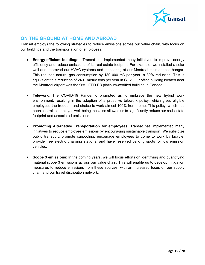

#### <span id="page-14-0"></span>**ON THE GROUND AT HOME AND ABROAD**

Transat employs the following strategies to reduce emissions across our value chain, with focus on our buildings and the transportation of employees:

- **Energy-efficient buildings**: Transat has implemented many initiatives to improve energy efficiency and reduce emissions of its real estate footprint. For example, we installed a solar wall and improved our HVAC systems and monitoring at our Montreal maintenance hangar. This reduced natural gas consumption by 130 000 m3 per year, a 30% reduction. This is equivalent to a reduction of 240+ metric tons per year in CO2. Our office building located near the Montreal airport was the first LEED EB platinum-certified building in Canada.
- **Telework**: The COVID-19 Pandemic prompted us to embrace the new hybrid work environment, resulting in the adoption of a proactive telework policy, which gives eligible employees the freedom and choice to work almost 100% from home. This policy, which has been central to employee well-being, has also allowed us to significantly reduce our real-estate footprint and associated emissions.
- **Promoting Alternative Transportation for employees**: Transat has implemented many initiatives to reduce employee emissions by encouraging sustainable transport. We subsidize public transport, promote carpooling, encourage employees to come to work by bicycle, provide free electric charging stations, and have reserved parking spots for low emission vehicles.
- **Scope 3 emissions**: In the coming years, we will focus efforts on identifying and quantifying material scope 3 emissions across our value chain. This will enable us to develop mitigation measures to reduce emissions from these sources, with an increased focus on our supply chain and our travel distribution network.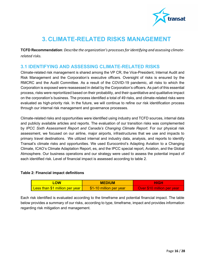

# <span id="page-15-0"></span>**3. CLIMATE-RELATED RISKS MANAGEMENT**

**TCFD Recommendation***: Describe the organization's processes for identifying and assessing climaterelated risks.* 

#### <span id="page-15-1"></span>**3.1 IDENTIFYING AND ASSESSING CLIMATE-RELATED RISKS**

Climate-related risk management is shared among the VP CR, the Vice-President, Internal Audit and Risk Management and the Corporation's executive officers. Oversight of risks is ensured by the RMCRC and the Audit Committee. As a result of the COVID-19 pandemic, all risks to which the Corporation is exposed were reassessed in detail by the Corporation's officers. As part of this essential process, risks were reprioritized based on their probability, and their quantitative and qualitative impact on the corporation's business. The process identified a total of 49 risks, and climate-related risks were evaluated as high-priority risk. In the future, we will continue to refine our risk identification process through our internal risk management and governance processes.

Climate-related risks and opportunities were identified using industry and TCFD sources, internal data and publicly available articles and reports. The evaluation of our transition risks was complemented by *IPCC Sixth Assessment Report and Canada's Changing Climate Report*. For our physical risk assessment, we focused on our airline, major airports, infrastructures that we use and impacts to primary travel destinations. We utilized internal and industry data, analysis, and reports to identify Transat's climate risks and opportunities. We used Eurocontrol's Adapting Aviation to a Changing Climate, ICAO's Climate Adaptation Report, es, and the IPCC special report, Aviation, and the Global Atmosphere. Our business operations and our strategy were used to assess the potential impact of each identified risk. Level of financial impact is assessed according to table 2.

#### **Table 2: Financial impact definitions**

| <b>LOW</b>                     | <b>MEDIUM</b>           | <b>HIGH</b>                |  |  |
|--------------------------------|-------------------------|----------------------------|--|--|
| Less than \$1 million per year | \$1-10 million per year | Over \$10 million per year |  |  |

Each risk identified is evaluated according to the timeframe and potential financial impact. The table below provides a summary of our risks, according to type, timeframe, impact and provides information regarding risk mitigation and management.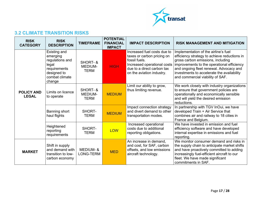

## **3.2 CLIMATE TRANSITION RISKS**

<span id="page-16-0"></span>

| <b>RISK</b><br><b>CATEGORY</b>    | <b>RISK</b><br><b>DESCRIPTION</b>                                                                                      | <b>TIMEFRAME</b>                          | <b>POTENTIAL</b><br><b>FINANCIAL</b><br><b>IMPACT</b> | <b>IMPACT DESCRIPTION</b>                                                                                                                                            | <b>RISK MANAGEMENT AND MITIGATION</b>                                                                                                                                                                                                                                                                |
|-----------------------------------|------------------------------------------------------------------------------------------------------------------------|-------------------------------------------|-------------------------------------------------------|----------------------------------------------------------------------------------------------------------------------------------------------------------------------|------------------------------------------------------------------------------------------------------------------------------------------------------------------------------------------------------------------------------------------------------------------------------------------------------|
|                                   | <b>Existing and</b><br>emerging<br>regulations and<br>legal<br>requirements<br>designed to<br>combat climate<br>change | SHORT- &<br><b>MEDIUM-</b><br><b>TERM</b> | <b>HIGH</b>                                           | Increased fuel costs due to<br>taxes or carbon pricing on<br>fossil fuels.<br>Increased operational costs<br>due to a direct carbon tax<br>on the aviation industry. | Implementation of the airline's fuel<br>efficiency strategy to achieve reductions in<br>gross carbon emissions, including<br>improvements to the operational efficiency<br>and ongoing fleet renewal. Advocacy and<br>investments to accelerate the availability<br>and commercial viability of SAF. |
| <b>POLICY AND</b><br><b>LEGAL</b> | SHORT-&<br>Limits on licence<br><b>MEDIUM-</b><br>to operate<br><b>TERM</b>                                            |                                           | <b>MEDIUM</b>                                         | Limit our ability to grow,<br>thus limiting revenue.                                                                                                                 | We work closely with industry organizations<br>to ensure that government policies are<br>operationally and economically sensible<br>and will yield the desired emission<br>reductions.                                                                                                               |
|                                   | Banning short<br>haul flights                                                                                          | SHORT-<br><b>TERM</b>                     | <b>MEDIUM</b>                                         | Impact connection strategy<br>and divert demand to other<br>transportation modes.                                                                                    | In partnership with TGV InOui, we have<br>developed Train + Air Service that<br>combines air and railway to 18 cities in<br>France and Belgium.                                                                                                                                                      |
|                                   | Heightened<br>reporting<br>requirements                                                                                | SHORT-<br><b>TERM</b>                     | <b>LOW</b>                                            | Increased operational<br>costs due to additional<br>reporting obligations.                                                                                           | We have invested in emission and fuel<br>efficiency software and have developed<br>internal expertise in emissions and fuel<br>reporting.                                                                                                                                                            |
| <b>MARKET</b>                     | Shift in supply<br>and demand with<br>transition to low-<br>carbon economy                                             | <b>MEDIUM-&amp;</b><br>LONG-TERM          | <b>MED</b>                                            | An increase in demand,<br>and cost, for SAF, carbon<br>offsets, and low emissions<br>aircraft technology.                                                            | We monitor consumer demand and risks in<br>the supply chain to anticipate market shifts<br>and have proactively committed to adding<br>increasingly fuel-efficient aircraft to our<br>fleet. We have made significant<br>commitments in SAF.                                                         |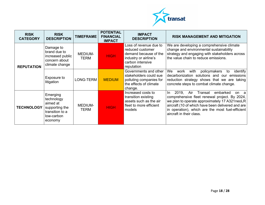

| <b>RISK</b><br><b>CATEGORY</b> | <b>RISK</b><br><b>DESCRIPTION</b>                                                                | <b>TIMEFRAME</b> | <b>POTENTIAL</b><br><b>FINANCIAL</b><br><b>IMPACT</b> | <b>IMPACT</b><br><b>DESCRIPTION</b>                                                                                            | <b>RISK MANAGEMENT AND MITIGATION</b>                                                                                                                                                                                                                                                     |  |
|--------------------------------|--------------------------------------------------------------------------------------------------|------------------|-------------------------------------------------------|--------------------------------------------------------------------------------------------------------------------------------|-------------------------------------------------------------------------------------------------------------------------------------------------------------------------------------------------------------------------------------------------------------------------------------------|--|
| <b>REPUTATION</b>              | Damage to<br>brand due to<br>increased public<br>concern about<br>climate change                 | MEDIUM-<br>TERM  | <b>HIGH</b>                                           | Loss of revenue due to<br>reduced customer<br>demand because of the<br>industry or airline's<br>carbon intensive<br>reputation | We are developing a comprehensive climate<br>change and environmental sustainability<br>strategy and engaging with stakeholders across<br>the value chain to reduce emissions.                                                                                                            |  |
|                                | Exposure to<br>litigation                                                                        | LONG-TERM        | <b>MEDIUM</b>                                         | Governments and other<br>stakeholders could sue<br>polluting companies for<br>the effects of climate<br>change.                | We<br>with<br>policymakers<br>identify<br>work<br>to<br>decarbonization solutions and our emissions<br>reduction strategy shows that we are taking<br>concrete steps to combat climate change.                                                                                            |  |
| <b>TECHNOLOGY</b>              | Emerging<br>technology<br>aimed at<br>supporting the<br>transition to a<br>low-carbon<br>economy | MEDIUM-<br>TERM  | <b>HIGH</b>                                           | Increased costs to<br>transition existing<br>assets such as the air<br>fleet to more efficient<br>models                       | 2019.<br>In.<br>Air<br>Transat<br>embarked<br>on a<br>comprehensive fleet renewal project. By 2024,<br>we plan to operate approximately 17 A321neoLR<br>aircraft (10 of which have been delivered and are<br>in operation), which are the most fuel-efficient<br>aircraft in their class. |  |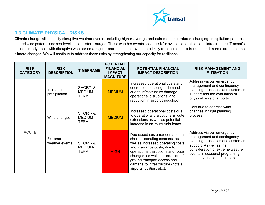

## **3.3 CLIMATE PHYSICAL RISKS**

Climate change will intensify disruptive weather events, including higher-average and extreme temperatures, changing precipitation patterns, altered wind patterns and sea-level rise and storm surges. These weather events pose a risk for aviation operations and infrastructure. Transat's airline already deals with disruptive weather on a regular basis, but such events are likely to become more frequent and more extreme as the climate changes. We will continue to address these risks by strengthening our capacity for resilience.

<span id="page-18-0"></span>

| <b>RISK</b><br><b>RISK</b><br><b>TIMEFRAME</b><br><b>DESCRIPTION</b><br><b>CATEGORY</b> |                            | <b>POTENTIAL</b><br><b>FINANCIAL</b><br><b>IMPACT</b><br><b>MAGNITUDE</b> | <b>POTENTIAL FINANCIAL</b><br><b>IMPACT DESCRIPTION</b> | <b>RISK MANAGEMENT AND</b><br><b>MITIGATION</b>                                                                                                                                                                                                                                                                 |                                                                                                                                                                                                                              |  |
|-----------------------------------------------------------------------------------------|----------------------------|---------------------------------------------------------------------------|---------------------------------------------------------|-----------------------------------------------------------------------------------------------------------------------------------------------------------------------------------------------------------------------------------------------------------------------------------------------------------------|------------------------------------------------------------------------------------------------------------------------------------------------------------------------------------------------------------------------------|--|
|                                                                                         | Increased<br>precipitation | SHORT-&<br><b>MEDIUM-</b><br><b>TERM</b>                                  | <b>MEDIUM</b>                                           | Increased operational costs and<br>decreased passenger demand<br>due to infrastructure damage,<br>operational disruptions, and<br>reduction in airport throughput.                                                                                                                                              | Address via our emergency<br>management and contingency<br>planning processes and customer<br>support and the evaluation of<br>physical risks of airports.                                                                   |  |
|                                                                                         | Wind changes               | SHORT-&<br><b>MEDIUM-</b><br><b>TERM</b>                                  | <b>MEDIUM</b>                                           | Increased operational costs due<br>to operational disruptions & route<br>extensions as well as potential<br>increase in en-route turbulence.                                                                                                                                                                    | Continue to address wind<br>changes in flight planning<br>process.                                                                                                                                                           |  |
| <b>ACUTE</b>                                                                            | Extreme<br>weather events  | SHORT-&<br><b>MEDIUM-</b><br>TERM                                         | <b>HIGH</b>                                             | Decreased customer demand and<br>shorter operating seasons, as<br>well as increased operating costs<br>and insurance costs, due to<br>operational disruptions and route<br>changes, as well as disruption of<br>ground transport access and<br>damage to infrastructure (hotels,<br>airports, utilities, etc.). | Address via our emergency<br>management and contingency<br>planning processes and customer<br>support. As well as the<br>consideration of extreme weather<br>events in seasonal programing<br>and in evaluation of airports. |  |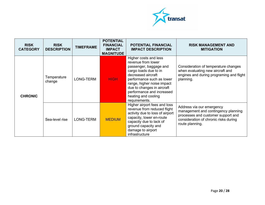

| <b>RISK</b><br><b>CATEGORY</b> | <b>RISK</b><br><b>DESCRIPTION</b> | <b>TIMEFRAME</b>         | <b>POTENTIAL</b><br><b>FINANCIAL</b><br><b>IMPACT</b><br><b>MAGNITUDE</b> | <b>POTENTIAL FINANCIAL</b><br><b>IMPACT DESCRIPTION</b>                                                                                                                                                                                                                            | <b>RISK MANAGEMENT AND</b><br><b>MITIGATION</b>                                                                                                                    |  |
|--------------------------------|-----------------------------------|--------------------------|---------------------------------------------------------------------------|------------------------------------------------------------------------------------------------------------------------------------------------------------------------------------------------------------------------------------------------------------------------------------|--------------------------------------------------------------------------------------------------------------------------------------------------------------------|--|
| <b>CHRONIC</b>                 | Temperature<br>change             | LONG-TERM<br><b>HIGH</b> |                                                                           | Higher costs and less<br>revenue from lower<br>passenger, baggage and<br>cargo loads due to in<br>decreased aircraft<br>performance such as lower<br>range, higher noise impact<br>due to changes in aircraft<br>performance and increased<br>heating and cooling<br>requirements. | Consideration of temperature changes<br>when evaluating new aircraft and<br>engines and during programing and flight<br>planning.                                  |  |
|                                | Sea-level rise                    | LONG-TERM                | <b>MEDIUM</b>                                                             | Higher airport fees and loss<br>revenue from reduced flight<br>activity due to loss of airport<br>capacity, lower en-route<br>capacity due to lack of<br>ground capacity and<br>damage to airport<br>infrastructure                                                                | Address via our emergency<br>management and contingency planning<br>processes and customer support and<br>consideration of chronic risks during<br>route planning. |  |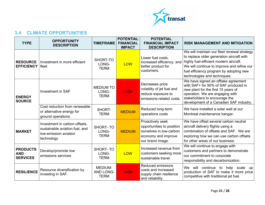

## **3.4 CLIMATE OPPORTUNITIES**

<span id="page-20-0"></span>

| <b>TYPE</b>                                      | <b>OPPORTUNITY</b><br><b>DESCRIPTION</b>                                                               | <b>TIMEFRAME</b>                                  | <b>POTENTIAL</b><br><b>FINANCIAL</b><br><b>IMPACT</b> | <b>POTENTIAL</b><br><b>FINANCIAL IMPACT</b><br><b>DESCRIPTION</b>                                                   | <b>RISK MANAGEMENT AND MITIGATION</b>                                                                                                                                                                                                                       |
|--------------------------------------------------|--------------------------------------------------------------------------------------------------------|---------------------------------------------------|-------------------------------------------------------|---------------------------------------------------------------------------------------------------------------------|-------------------------------------------------------------------------------------------------------------------------------------------------------------------------------------------------------------------------------------------------------------|
| <b>RESOURCE</b><br><b>EFFICIENCY</b>             | Investment in more efficient<br>fleet                                                                  | SHORT-TO<br>LONG-<br><b>TERM</b>                  | <b>LOW</b>                                            | Lower fuel costs,<br>increased efficiency, and<br>better product for<br>customers.                                  | We will maintain our fleet renewal strategy<br>to replace older generation aircraft with<br>highly fuel-efficient modern aircraft.<br>We will continue to improve and refine our<br>fuel efficiency program by adopting new<br>technologies and techniques. |
| <b>ENERGY</b><br><b>SOURCE</b>                   | <b>Investment in SAF</b>                                                                               | <b>MEDIUM TO</b><br>LONG-<br><b>TERM</b>          | <b>HIGH</b>                                           | Decreases price<br>volatility of jet fuel and<br>reduce exposure to<br>emissions-related costs.                     | We have signed an offtake agreement<br>with SAF+ for 90% of SAF produced in<br>new plant for the first 15 years of<br>operation. We are engaging with<br>stakeholders to encourage the<br>development of a Canadian SAF industry.                           |
|                                                  | Cost reduction from renewable<br>or alternative energy for<br>ground operations                        | SHORT-<br><b>TERM</b>                             | <b>MEDIUM</b>                                         | Reduced long-term<br>operations costs                                                                               | We have installed a solar wall at our<br>Montreal maintenance hangar.                                                                                                                                                                                       |
| <b>MARKET</b>                                    | Investment in carbon offsets,<br>sustainable aviation fuel, and<br>low-emission aviation<br>technology | SHORT-TO<br>LONG-<br><b>TERM</b>                  | <b>MEDIUM</b>                                         | Proactively seek<br>opportunities to position<br>ourselves in low-carbon<br>economy and improve<br>our brand image. | We have offset several carbon neutral<br>aircraft delivery flights using a<br>combination of offsets and SAF. We are<br>exploring how we can use carbon offsets<br>for other areas of our business.                                                         |
| <b>PRODUCTS</b><br><b>AND</b><br><b>SERVICES</b> | Develop/promote low<br>emissions services                                                              | <b>SHORT-TO</b><br>LONG-<br><b>TERM</b>           | <b>LOW</b>                                            | Increased revenue from<br>customers seeking more<br>sustainable travel.                                             | We will continue to engage with<br>customers and partners to demonstrate<br>our commitment to corporate<br>responsibility and decarbonization.                                                                                                              |
| <b>RESILIENCE</b>                                | Resource diversification by<br>investing in SAF.                                                       | <b>MEDIUM-</b><br><b>AND LONG-</b><br><b>TERM</b> | <b>HIGH</b>                                           | Reduced emissions<br>costs and increased<br>supply chain resilience<br>and reliability.                             | We will continue to help scale<br>up<br>production of SAF to make it more price<br>competitive with traditional jet fuel.                                                                                                                                   |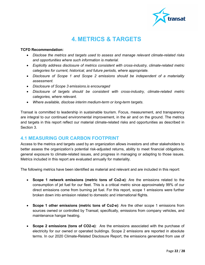

# **4. METRICS & TARGETS**

#### <span id="page-21-0"></span>**TCFD Recommendation:**

- *Disclose the metrics and targets used to assess and manage relevant climate-related risks and opportunities where such information is material.*
- *Explicitly address disclosure of metrics consistent with cross-industry, climate-related metric categories for current, historical, and future periods, where appropriate.*
- *Disclosure of Scope 1 and Scope 2 emissions should be independent of a materiality assessment.*
- *Disclosure of Scope 3 emissions.is encouraged*
- *Disclosure of targets should be consistent with cross-industry, climate-related metric categories, where relevant.*
- *Where available, disclose interim medium-term or long-term targets*.

Transat is committed to leadership in sustainable tourism. Focus, measurement, and transparency are integral to our continued environmental improvement, in the air and on the ground. The metrics and targets in this report reflect our material climate-related risks and opportunities as described in Section 3.

#### <span id="page-21-1"></span>**4.1 MEASURING OUR CARBON FOOTPRINT**

Access to the metrics and targets used by an organization allows investors and other stakeholders to better assess the organization's potential risk-adjusted returns, ability to meet financial obligations, general exposure to climate-related issues, and progress in managing or adapting to those issues. Metrics included in this report are evaluated annually for materiality.

The following metrics have been identified as material and relevant and are included in this report:

- **Scope 1 network emissions (metric tons of Co2-e)**: Are the emissions related to the consumption of jet fuel for our fleet. This is a critical metric since approximately 99% of our direct emissions come from burning jet fuel. For this report, scope 1 emissions were further broken down into emission related to domestic and international flights.
- **Scope 1 other emissions (metric tons of Co2-e)**: Are the other scope 1 emissions from sources owned or controlled by Transat; specifically, emissions from company vehicles, and maintenance hangar heating.
- **Scope 2 emissions (tons of CO2-e)**: Are the emissions associated with the purchase of electricity for our owned or operated buildings. Scope 2 emissions are reported in absolute terms. In our 2020 Climate-Related Disclosure Report, the emissions generated from use of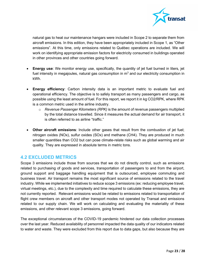

natural gas to heat our maintenance hangars were included in Scope 2 to separate them from aircraft emissions. In this edition, they have been appropriately included in Scope 1, as "Other emissions". At this time, only emissions related to Québec operations are included. We will work on identifying appropriate emission factors for electricity consumed in buildings operated in other provinces and other countries going forward.

- **Energy use**: We monitor energy use, specifically, the quantity of jet fuel burned in liters, jet fuel intensity in megajoules, natural gas consumption in  $m<sup>3</sup>$  and our electricity consumption in kWh.
- **Energy efficiency**: Carbon intensity data is an important metric to evaluate fuel and operational efficiency. The objective is to safely transport as many passengers and cargo, as possible using the least amount of fuel. For this report, we report it in kg CO2/RPK, where RPK is a common metric used in the airline industry.
	- o *Revenue Passenger Kilometers (RPK)* is the amount of revenue passengers multiplied by the total distance travelled. Since it measures the actual demand for air transport, it is often referred to as airline "traffic."
- **Other aircraft emissions**: Include other gases that result from the combustion of jet fuel; nitrogen oxides (NOx), sulfur oxides (SOx) and methane (CH4). They are produced in much smaller quantities than CO2 but can pose climate-relate risks such as global warming and air quality. They are expressed in absolute terms in metric tons.

## <span id="page-22-0"></span>**4.2 EXCLUDED METRICS**

Scope 3 emissions include those from sources that we do not directly control, such as emissions related to purchasing of goods and services, transportation of passengers to and from the airport, ground support and baggage handling equipment that is outsourced, employee commuting and business travel. Air transport remains the most significant source of emissions related to the travel industry. While we implemented initiatives to reduce scope 3 emissions (ex: reducing employee travel, virtual meetings, etc.), due to the complexity and time required to calculate these emissions, they are not currently reported. Relevant emissions would be related to emissions related to transportation of flight crew members on aircraft and other transport modes not operated by Transat and emissions related to our supply chain. We will work on calculating and evaluating the materiality of these emissions, and other relevant scope 3 emissions, going forward.

The exceptional circumstances of the COVID-19 pandemic hindered our data collection processes over the last year. Reduced availability of personnel impacted the data quality of our indicators related to water and waste. They were excluded from this report due to data gaps, but also because they are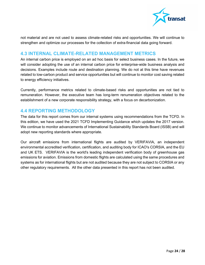

not material and are not used to assess climate-related risks and opportunities. We will continue to strengthen and optimize our processes for the collection of extra-financial data going forward.

#### <span id="page-23-0"></span>**4.3 INTERNAL CLIMATE-RELATED MANAGEMENT METRICS**

An internal carbon price is employed on an ad hoc basis for select business cases. In the future, we will consider adopting the use of an internal carbon price for enterprise-wide business analysis and decisions. Examples include route and destination planning. We do not at this time have revenues related to low-carbon product and service opportunities but will continue to monitor cost saving related to energy efficiency initiatives.

Currently, performance metrics related to climate-based risks and opportunities are not tied to remuneration. However, the executive team has long-term renumeration objectives related to the establishment of a new corporate responsibility strategy, with a focus on decarbonization.

## <span id="page-23-1"></span>**4.4 REPORTING METHODOLOGY**

The data for this report comes from our internal systems using recommendations from the TCFD. In this edition, we have used the 2021 TCFD Implementing Guidance which updates the 2017 version. We continue to monitor advancements of International Sustainability Standards Board (ISSB) and will adopt new reporting standards where appropriate.

Our aircraft emissions from international flights are audited by VERIFAVIA, an independent environmental accredited verification, certification, and auditing body for ICAO's CORSIA, and the EU and UK ETS. VERIFAVIA is the world's leading independent verification body of greenhouse gas emissions for aviation. Emissions from domestic flights are calculated using the same procedures and systems as for international flights but are not audited because they are not subject to CORSIA or any other regulatory requirements. All the other data presented in this report has not been audited.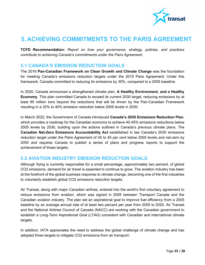

## <span id="page-24-0"></span>**5. ACHIEVING COMMITMENTS TO THE PARIS AGREEMENT**

**TCFD Recommendation:** *Report on how your governance, strategy, policies, and practices contribute to achieving Canada's commitments under the Paris Agreement*.

#### <span id="page-24-1"></span>**5.1 CANADA'S EMISSION REDUCTION GOALS**

The 2016 **Pan-Canadian Framework on Clean Growth and Climate Change** was the foundation for meeting Canada's emissions reduction targets under the 2015 Paris Agreement: Under this framework, Canada committed to reducing its emissions by 30%, compared to a 2005 baseline.

In 2020, Canada announced a strengthened climate plan, **A Healthy Environment, and a Healthy Economy**. This plan committed Canada to exceed its current 2030 target, reducing emissions by at least 85 million tons beyond the reductions that will be driven by the Pan-Canadian Framework resulting in a 32% to 40% emission reduction below 2005 levels in 2030.

In March 2022, the Government of Canada introduced **Canada's 2030 Emissions Reduction Plan**, which provides a roadmap for the Canadian economy to achieve 40-45% emissions reductions below 2005 levels by 2030, building upon the actions outlined in Canada's previous climate plans. The **Canadian Net-Zero Emissions Accountability Act** established in law Canada's 2030 emissions reduction target under the Paris Agreement of 40 to 45 per cent below 2005 levels and net-zero by 2050 and requires Canada to publish a series of plans and progress reports to support the achievement of those targets.

## <span id="page-24-2"></span>**5.2 AVIATION INDUSTRY EMISSION REDUCTION GOALS**

Although flying is currently responsible for a small percentage, approximately two percent, of global CO2 emissions, demand for air travel is expected to continue to grow. The aviation industry has been at the forefront of the global business response to climate change, becoming one of the first industries to voluntarily establish global CO2 emissions reduction targets.

Air Transat, along with major Canadian airlines, entered into the world's first voluntary agreement to reduce emissions from aviation, which was signed in 2005 between Transport Canada and the Canadian aviation industry. The plan set an aspirational goal to improve fuel efficiency from a 2005 baseline by an average annual rate of at least two percent per year from 2005 to 2020. Air Transat and the National Airlines Council of Canada (NACC) are working with the Canadian government to establish a Long-Term Aspirational Goal (LTAG) consistent with Canadian and international climate targets.

In addition, IATA appreciates the need to address the global challenge of climate change and has adopted three targets to mitigate CO2 emissions from air transport: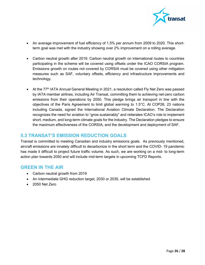

- An average improvement of fuel efficiency of 1.5% per annum from 2009 to 2020. This shortterm goal was met with the industry showing over 2% improvement on a rolling average.
- Carbon neutral growth after 2019. Carbon neutral growth on international routes to countries participating in the scheme will be covered using offsets under the ICAO CORSIA program. Emissions growth on routes not covered by CORSIA must be covered using other mitigation measures such as SAF, voluntary offsets, efficiency and infrastructure improvements and technology.
- At the 77<sup>th</sup> IATA Annual General Meeting in 2021, a resolution called Fly Net Zero was passed by IATA member airlines, including Air Transat, committing them to achieving net-zero carbon emissions from their operations by 2050. This pledge brings air transport in line with the objectives of the Paris Agreement to limit global warming to 1.5°C. At COP26, 23 nations including Canada, signed the International Aviation Climate Declaration. The Declaration recognizes the need for aviation to "grow sustainably" and reiterates ICAO's role to implement short, medium, and long-term climate goals for the industry. The Declaration pledges to ensure the maximum effectiveness of the CORSIA, and the development and deployment of SAF.

## <span id="page-25-0"></span>**5.3 TRANSAT'S EMISSION REDUCTION GOALS**

Transat is committed to meeting Canadian and industry emissions goals. As previously mentioned, aircraft emissions are innately difficult to decarbonize in the short term and the COVID- 19 pandemic has made it difficult to project future traffic volume. As such, we are working on a mid- to long-term action plan towards 2050 and will include mid-term targets in upcoming TCFD Reports.

#### **GREEN IN THE AIR**

- Carbon neutral growth from 2019
- An intermediate GHG reduction target, 2030 or 2035, will be established
- 2050 Net Zero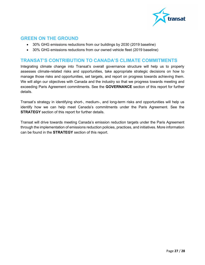

#### **GREEN ON THE GROUND**

- 30% GHG emissions reductions from our buildings by 2030 (2019 baseline)
- 30% GHG emissions reductions from our owned vehicle fleet (2019 baseline)

#### **TRANSAT'S CONTRIBUTION TO CANADA'S CLIMATE COMMITMENTS**

Integrating climate change into Transat's overall governance structure will help us to properly assesses climate-related risks and opportunities, take appropriate strategic decisions on how to manage those risks and opportunities, set targets, and report on progress towards achieving them. We will align our objectives with Canada and the industry so that we progress towards meeting and exceeding Paris Agreement commitments. See the **GOVERNANCE** section of this report for further details.

Transat's strategy in identifying short-, medium-, and long-term risks and opportunities will help us identify how we can help meet Canada's commitments under the Paris Agreement. See the **STRATEGY** section of this report for further details.

Transat will drive towards meeting Canada's emission reduction targets under the Paris Agreement through the implementation of emissions reduction policies, practices, and initiatives. More information can be found in the **STRATEGY** section of this report.